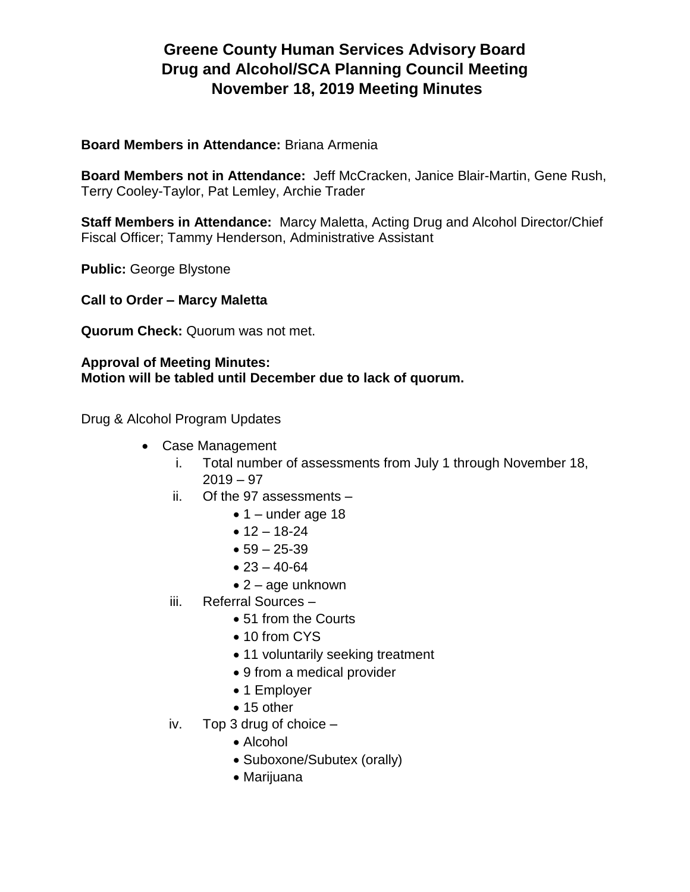# **Greene County Human Services Advisory Board Drug and Alcohol/SCA Planning Council Meeting November 18, 2019 Meeting Minutes**

#### **Board Members in Attendance:** Briana Armenia

**Board Members not in Attendance:** Jeff McCracken, Janice Blair-Martin, Gene Rush, Terry Cooley-Taylor, Pat Lemley, Archie Trader

**Staff Members in Attendance:** Marcy Maletta, Acting Drug and Alcohol Director/Chief Fiscal Officer; Tammy Henderson, Administrative Assistant

**Public:** George Blystone

**Call to Order – Marcy Maletta**

**Quorum Check:** Quorum was not met.

#### **Approval of Meeting Minutes: Motion will be tabled until December due to lack of quorum.**

Drug & Alcohol Program Updates

- Case Management
	- i. Total number of assessments from July 1 through November 18,  $2019 - 97$
	- ii. Of the 97 assessments
		- $\bullet$  1 under age 18
		- $12 18 24$
		- $59 25 39$
		- $23 40 64$
		- $\bullet$  2 age unknown
	- iii. Referral Sources
		- 51 from the Courts
		- 10 from CYS
		- 11 voluntarily seeking treatment
		- 9 from a medical provider
		- 1 Employer
		- 15 other
	- iv. Top 3 drug of choice
		- Alcohol
		- Suboxone/Subutex (orally)
		- Marijuana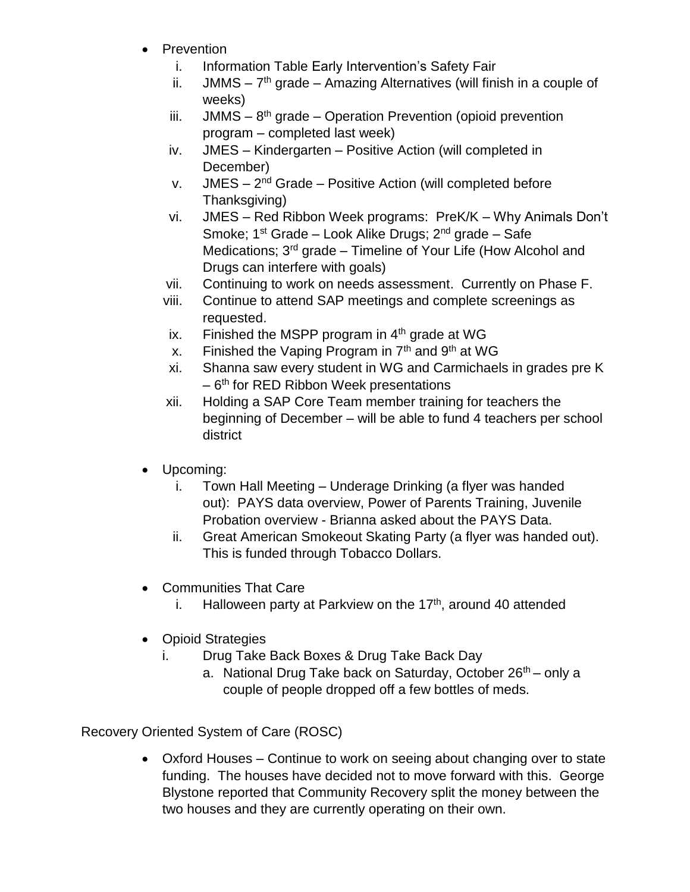- Prevention
	- i. Information Table Early Intervention's Safety Fair
	- ii.  $JMMS 7<sup>th</sup>$  grade Amazing Alternatives (will finish in a couple of weeks)
	- iii.  $JMMS 8<sup>th</sup>$  grade Operation Prevention (opioid prevention program – completed last week)
	- iv. JMES Kindergarten Positive Action (will completed in December)
	- v. JMES 2<sup>nd</sup> Grade Positive Action (will completed before Thanksgiving)
	- vi. JMES Red Ribbon Week programs: PreK/K Why Animals Don't Smoke;  $1^{st}$  Grade – Look Alike Drugs;  $2^{nd}$  grade – Safe Medications; 3<sup>rd</sup> grade – Timeline of Your Life (How Alcohol and Drugs can interfere with goals)
	- vii. Continuing to work on needs assessment. Currently on Phase F.
	- viii. Continue to attend SAP meetings and complete screenings as requested.
	- ix. Finished the MSPP program in  $4<sup>th</sup>$  grade at WG
	- x. Finished the Vaping Program in  $7<sup>th</sup>$  and  $9<sup>th</sup>$  at WG
	- xi. Shanna saw every student in WG and Carmichaels in grades pre K  $-6$ <sup>th</sup> for RED Ribbon Week presentations
	- xii. Holding a SAP Core Team member training for teachers the beginning of December – will be able to fund 4 teachers per school district
- Upcoming:
	- i. Town Hall Meeting Underage Drinking (a flyer was handed out): PAYS data overview, Power of Parents Training, Juvenile Probation overview - Brianna asked about the PAYS Data.
	- ii. Great American Smokeout Skating Party (a flyer was handed out). This is funded through Tobacco Dollars.
- Communities That Care
	- i. Halloween party at Parkview on the  $17<sup>th</sup>$ , around 40 attended
- Opioid Strategies
	- i. Drug Take Back Boxes & Drug Take Back Day
		- a. National Drug Take back on Saturday, October 26<sup>th</sup> only a couple of people dropped off a few bottles of meds.

Recovery Oriented System of Care (ROSC)

 Oxford Houses – Continue to work on seeing about changing over to state funding. The houses have decided not to move forward with this. George Blystone reported that Community Recovery split the money between the two houses and they are currently operating on their own.